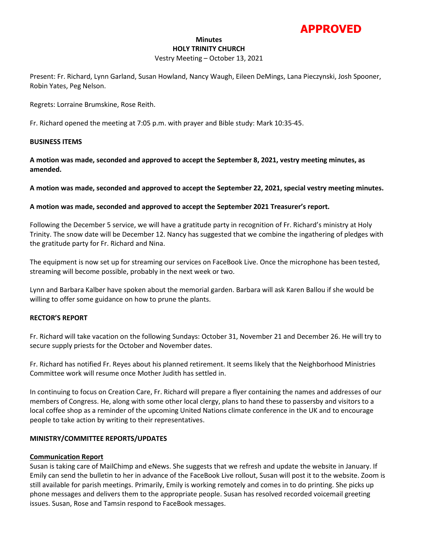# **APPROVED**

# **Minutes HOLY TRINITY CHURCH**

#### Vestry Meeting – October 13, 2021

Present: Fr. Richard, Lynn Garland, Susan Howland, Nancy Waugh, Eileen DeMings, Lana Pieczynski, Josh Spooner, Robin Yates, Peg Nelson.

Regrets: Lorraine Brumskine, Rose Reith.

Fr. Richard opened the meeting at 7:05 p.m. with prayer and Bible study: Mark 10:35-45.

#### **BUSINESS ITEMS**

**A motion was made, seconded and approved to accept the September 8, 2021, vestry meeting minutes, as amended.**

**A motion was made, seconded and approved to accept the September 22, 2021, special vestry meeting minutes.** 

## **A motion was made, seconded and approved to accept the September 2021 Treasurer's report.**

Following the December 5 service, we will have a gratitude party in recognition of Fr. Richard's ministry at Holy Trinity. The snow date will be December 12. Nancy has suggested that we combine the ingathering of pledges with the gratitude party for Fr. Richard and Nina.

The equipment is now set up for streaming our services on FaceBook Live. Once the microphone has been tested, streaming will become possible, probably in the next week or two.

Lynn and Barbara Kalber have spoken about the memorial garden. Barbara will ask Karen Ballou if she would be willing to offer some guidance on how to prune the plants.

#### **RECTOR'S REPORT**

Fr. Richard will take vacation on the following Sundays: October 31, November 21 and December 26. He will try to secure supply priests for the October and November dates.

Fr. Richard has notified Fr. Reyes about his planned retirement. It seems likely that the Neighborhood Ministries Committee work will resume once Mother Judith has settled in.

In continuing to focus on Creation Care, Fr. Richard will prepare a flyer containing the names and addresses of our members of Congress. He, along with some other local clergy, plans to hand these to passersby and visitors to a local coffee shop as a reminder of the upcoming United Nations climate conference in the UK and to encourage people to take action by writing to their representatives.

# **MINISTRY/COMMITTEE REPORTS/UPDATES**

#### **Communication Report**

Susan is taking care of MailChimp and eNews. She suggests that we refresh and update the website in January. If Emily can send the bulletin to her in advance of the FaceBook Live rollout, Susan will post it to the website. Zoom is still available for parish meetings. Primarily, Emily is working remotely and comes in to do printing. She picks up phone messages and delivers them to the appropriate people. Susan has resolved recorded voicemail greeting issues. Susan, Rose and Tamsin respond to FaceBook messages.